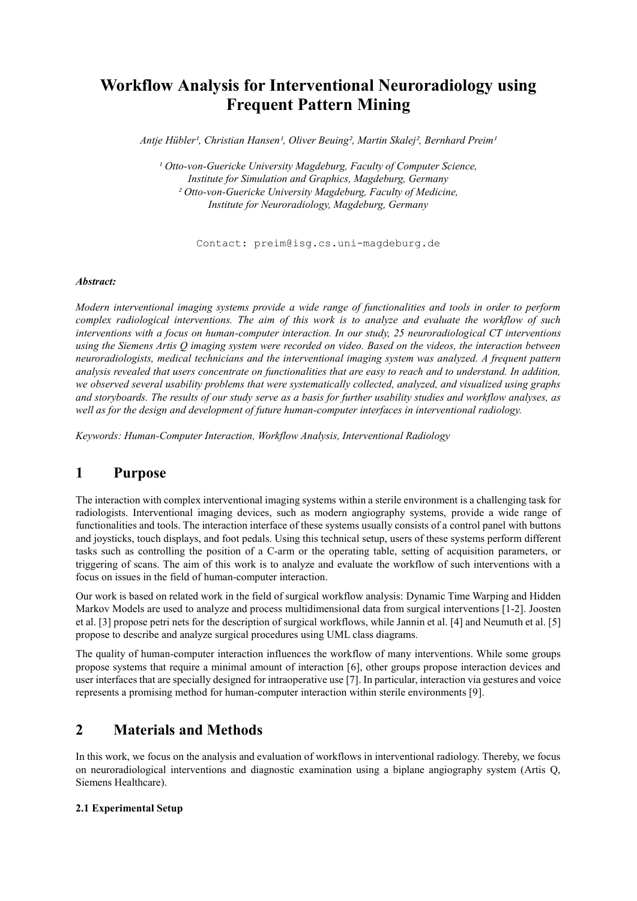# **Workflow Analysis for Interventional Neuroradiology using Frequent Pattern Mining**

*Antje Hübler<sup>1</sup>, Christian Hansen<sup>1</sup>, Oliver Beuing<sup>2</sup>, Martin Skalej<sup>2</sup>, Bernhard Preim<sup>1</sup>* 

<sup>1</sup> Otto-von-Guericke University Magdeburg, Faculty of Computer Science, *Institute for Simulation and Graphics, Magdeburg, Germany ² Otto-von-Guericke University Magdeburg, Faculty of Medicine, Institute for Neuroradiology, Magdeburg, Germany*

Contact: preim@isg.cs.uni-magdeburg.de

#### *Abstract:*

*Modern interventional imaging systems provide a wide range of functionalities and tools in order to perform complex radiological interventions. The aim of this work is to analyze and evaluate the workflow of such interventions with a focus on human-computer interaction. In our study, 25 neuroradiological CT interventions using the Siemens Artis Q imaging system were recorded on video. Based on the videos, the interaction between neuroradiologists, medical technicians and the interventional imaging system was analyzed. A frequent pattern analysis revealed that users concentrate on functionalities that are easy to reach and to understand. In addition, we observed several usability problems that were systematically collected, analyzed, and visualized using graphs and storyboards. The results of our study serve as a basis for further usability studies and workflow analyses, as well as for the design and development of future human-computer interfaces in interventional radiology.*

*Keywords: Human-Computer Interaction, Workflow Analysis, Interventional Radiology* 

# **1 Purpose**

The interaction with complex interventional imaging systems within a sterile environment is a challenging task for radiologists. Interventional imaging devices, such as modern angiography systems, provide a wide range of functionalities and tools. The interaction interface of these systems usually consists of a control panel with buttons and joysticks, touch displays, and foot pedals. Using this technical setup, users of these systems perform different tasks such as controlling the position of a C-arm or the operating table, setting of acquisition parameters, or triggering of scans. The aim of this work is to analyze and evaluate the workflow of such interventions with a focus on issues in the field of human-computer interaction.

Our work is based on related work in the field of surgical workflow analysis: Dynamic Time Warping and Hidden Markov Models are used to analyze and process multidimensional data from surgical interventions [1-2]. Joosten et al. [3] propose petri nets for the description of surgical workflows, while Jannin et al. [4] and Neumuth et al. [5] propose to describe and analyze surgical procedures using UML class diagrams.

The quality of human-computer interaction influences the workflow of many interventions. While some groups propose systems that require a minimal amount of interaction [6], other groups propose interaction devices and user interfaces that are specially designed for intraoperative use [7]. In particular, interaction via gestures and voice represents a promising method for human-computer interaction within sterile environments [9].

# **2 Materials and Methods**

In this work, we focus on the analysis and evaluation of workflows in interventional radiology. Thereby, we focus on neuroradiological interventions and diagnostic examination using a biplane angiography system (Artis Q, Siemens Healthcare).

#### **2.1 Experimental Setup**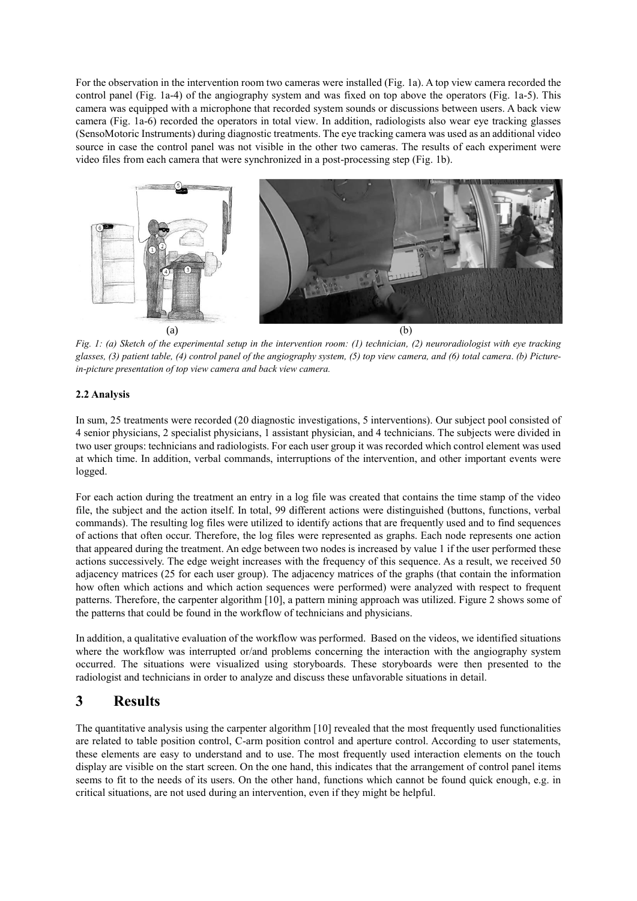For the observation in the intervention room two cameras were installed (Fig. 1a). A top view camera recorded the control panel (Fig. 1a-4) of the angiography system and was fixed on top above the operators (Fig. 1a-5). This camera was equipped with a microphone that recorded system sounds or discussions between users. A back view camera (Fig. 1a-6) recorded the operators in total view. In addition, radiologists also wear eye tracking glasses (SensoMotoric Instruments) during diagnostic treatments. The eye tracking camera was used as an additional video source in case the control panel was not visible in the other two cameras. The results of each experiment were video files from each camera that were synchronized in a post-processing step (Fig. 1b).



*Fig. 1: (a) Sketch of the experimental setup in the intervention room: (1) technician, (2) neuroradiologist with eye tracking glasses, (3) patient table, (4) control panel of the angiography system, (5) top view camera, and (6) total camera*. *(b) Picturein-picture presentation of top view camera and back view camera.*

#### **2.2 Analysis**

In sum, 25 treatments were recorded (20 diagnostic investigations, 5 interventions). Our subject pool consisted of 4 senior physicians, 2 specialist physicians, 1 assistant physician, and 4 technicians. The subjects were divided in two user groups: technicians and radiologists. For each user group it was recorded which control element was used at which time. In addition, verbal commands, interruptions of the intervention, and other important events were logged.

For each action during the treatment an entry in a log file was created that contains the time stamp of the video file, the subject and the action itself. In total, 99 different actions were distinguished (buttons, functions, verbal commands). The resulting log files were utilized to identify actions that are frequently used and to find sequences of actions that often occur. Therefore, the log files were represented as graphs. Each node represents one action that appeared during the treatment. An edge between two nodes is increased by value 1 if the user performed these actions successively. The edge weight increases with the frequency of this sequence. As a result, we received 50 adjacency matrices (25 for each user group). The adjacency matrices of the graphs (that contain the information how often which actions and which action sequences were performed) were analyzed with respect to frequent patterns. Therefore, the carpenter algorithm [10], a pattern mining approach was utilized. Figure 2 shows some of the patterns that could be found in the workflow of technicians and physicians.

In addition, a qualitative evaluation of the workflow was performed. Based on the videos, we identified situations where the workflow was interrupted or/and problems concerning the interaction with the angiography system occurred. The situations were visualized using storyboards. These storyboards were then presented to the radiologist and technicians in order to analyze and discuss these unfavorable situations in detail.

### **3 Results**

The quantitative analysis using the carpenter algorithm [10] revealed that the most frequently used functionalities are related to table position control, C-arm position control and aperture control. According to user statements, these elements are easy to understand and to use. The most frequently used interaction elements on the touch display are visible on the start screen. On the one hand, this indicates that the arrangement of control panel items seems to fit to the needs of its users. On the other hand, functions which cannot be found quick enough, e.g. in critical situations, are not used during an intervention, even if they might be helpful.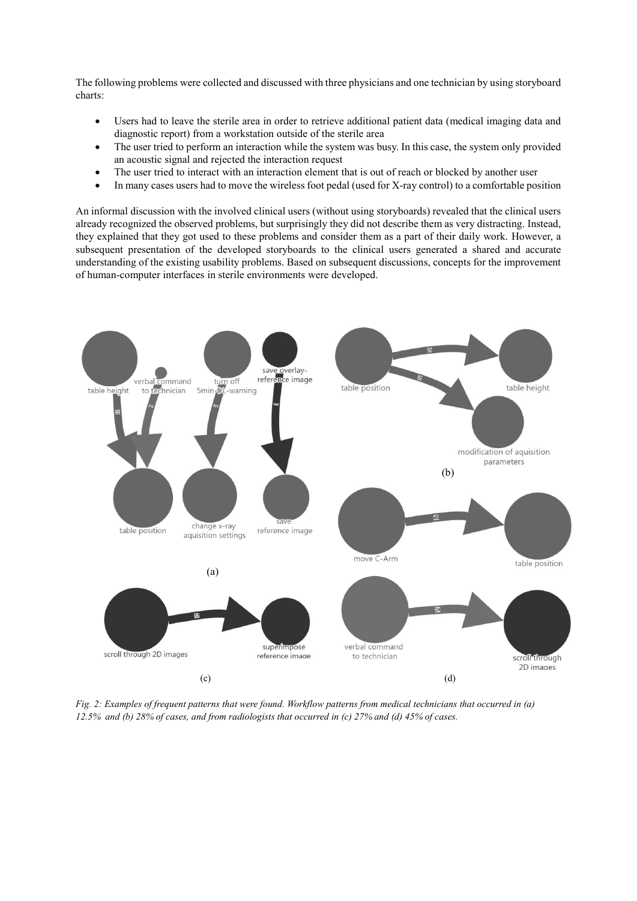The following problems were collected and discussed with three physicians and one technician by using storyboard charts:

- Users had to leave the sterile area in order to retrieve additional patient data (medical imaging data and diagnostic report) from a workstation outside of the sterile area
- The user tried to perform an interaction while the system was busy. In this case, the system only provided an acoustic signal and rejected the interaction request
- The user tried to interact with an interaction element that is out of reach or blocked by another user
- In many cases users had to move the wireless foot pedal (used for X-ray control) to a comfortable position

An informal discussion with the involved clinical users (without using storyboards) revealed that the clinical users already recognized the observed problems, but surprisingly they did not describe them as very distracting. Instead, they explained that they got used to these problems and consider them as a part of their daily work. However, a subsequent presentation of the developed storyboards to the clinical users generated a shared and accurate understanding of the existing usability problems. Based on subsequent discussions, concepts for the improvement of human-computer interfaces in sterile environments were developed.



*Fig. 2: Examples of frequent patterns that were found. Workflow patterns from medical technicians that occurred in (a) 12.5% and (b) 28% of cases, and from radiologists that occurred in (c) 27% and (d) 45% of cases.*